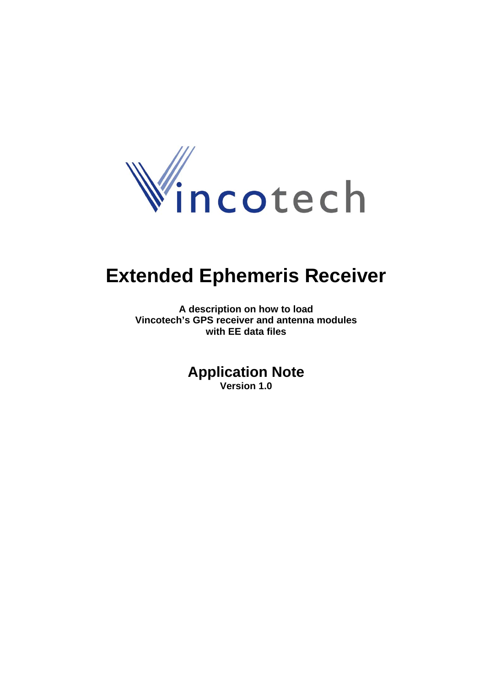

# **Extended Ephemeris Receiver**

**A description on how to load Vincotech's GPS receiver and antenna modules with EE data files** 

> **Application Note Version 1.0**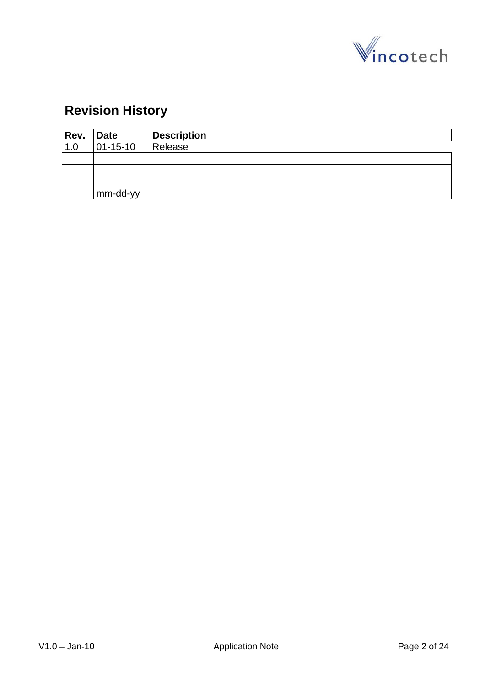

# **Revision History**

| Rev. | <b>Date</b>      | <b>Description</b> |  |
|------|------------------|--------------------|--|
| 1.0  | $ 01 - 15 - 10 $ | Release            |  |
|      |                  |                    |  |
|      |                  |                    |  |
|      |                  |                    |  |
|      | mm-dd-yy         |                    |  |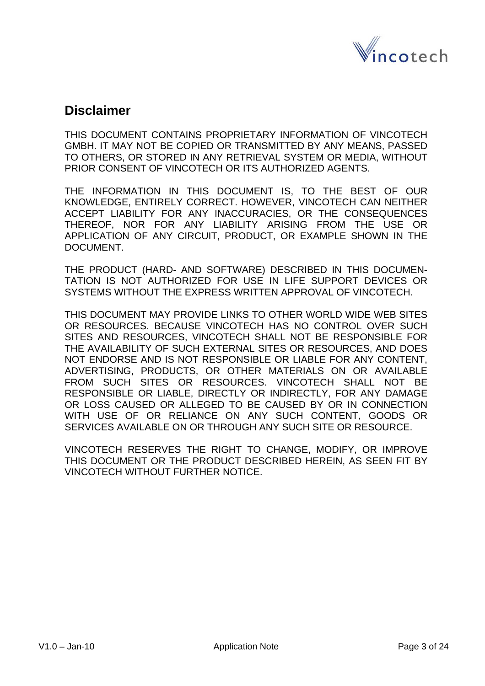

## **Disclaimer**

THIS DOCUMENT CONTAINS PROPRIETARY INFORMATION OF VINCOTECH GMBH. IT MAY NOT BE COPIED OR TRANSMITTED BY ANY MEANS, PASSED TO OTHERS, OR STORED IN ANY RETRIEVAL SYSTEM OR MEDIA, WITHOUT PRIOR CONSENT OF VINCOTECH OR ITS AUTHORIZED AGENTS.

THE INFORMATION IN THIS DOCUMENT IS, TO THE BEST OF OUR KNOWLEDGE, ENTIRELY CORRECT. HOWEVER, VINCOTECH CAN NEITHER ACCEPT LIABILITY FOR ANY INACCURACIES, OR THE CONSEQUENCES THEREOF, NOR FOR ANY LIABILITY ARISING FROM THE USE OR APPLICATION OF ANY CIRCUIT, PRODUCT, OR EXAMPLE SHOWN IN THE DOCUMENT.

THE PRODUCT (HARD- AND SOFTWARE) DESCRIBED IN THIS DOCUMEN-TATION IS NOT AUTHORIZED FOR USE IN LIFE SUPPORT DEVICES OR SYSTEMS WITHOUT THE EXPRESS WRITTEN APPROVAL OF VINCOTECH.

THIS DOCUMENT MAY PROVIDE LINKS TO OTHER WORLD WIDE WEB SITES OR RESOURCES. BECAUSE VINCOTECH HAS NO CONTROL OVER SUCH SITES AND RESOURCES, VINCOTECH SHALL NOT BE RESPONSIBLE FOR THE AVAILABILITY OF SUCH EXTERNAL SITES OR RESOURCES, AND DOES NOT ENDORSE AND IS NOT RESPONSIBLE OR LIABLE FOR ANY CONTENT, ADVERTISING, PRODUCTS, OR OTHER MATERIALS ON OR AVAILABLE FROM SUCH SITES OR RESOURCES. VINCOTECH SHALL NOT BE RESPONSIBLE OR LIABLE, DIRECTLY OR INDIRECTLY, FOR ANY DAMAGE OR LOSS CAUSED OR ALLEGED TO BE CAUSED BY OR IN CONNECTION WITH USE OF OR RELIANCE ON ANY SUCH CONTENT, GOODS OR SERVICES AVAILABLE ON OR THROUGH ANY SUCH SITE OR RESOURCE.

VINCOTECH RESERVES THE RIGHT TO CHANGE, MODIFY, OR IMPROVE THIS DOCUMENT OR THE PRODUCT DESCRIBED HEREIN, AS SEEN FIT BY VINCOTECH WITHOUT FURTHER NOTICE.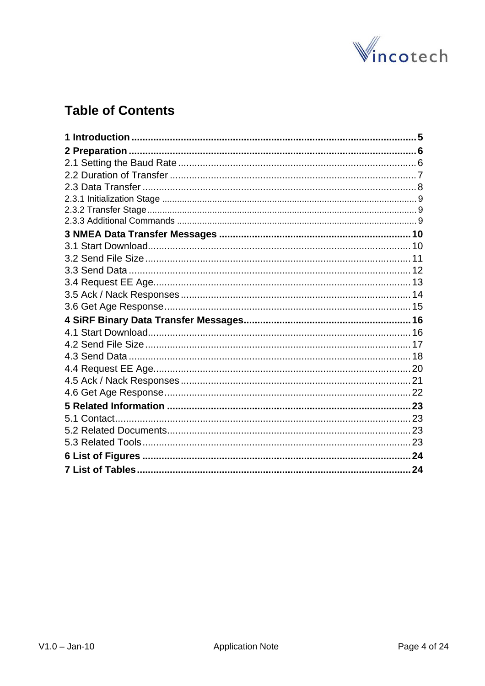

## **Table of Contents**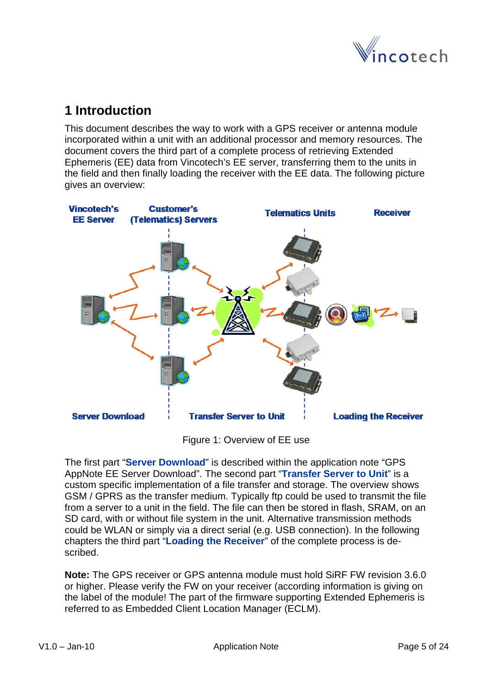

## <span id="page-4-0"></span>**1 Introduction**

This document describes the way to work with a GPS receiver or antenna module incorporated within a unit with an additional processor and memory resources. The document covers the third part of a complete process of retrieving Extended Ephemeris (EE) data from Vincotech's EE server, transferring them to the units in the field and then finally loading the receiver with the EE data. The following picture gives an overview:



Figure 1: Overview of EE use

The first part "**Server Download**" is described within the application note "GPS AppNote EE Server Download". The second part "**Transfer Server to Unit**" is a custom specific implementation of a file transfer and storage. The overview shows GSM / GPRS as the transfer medium. Typically ftp could be used to transmit the file from a server to a unit in the field. The file can then be stored in flash, SRAM, on an SD card, with or without file system in the unit. Alternative transmission methods could be WLAN or simply via a direct serial (e.g. USB connection). In the following chapters the third part "**Loading the Receiver**" of the complete process is described.

**Note:** The GPS receiver or GPS antenna module must hold SiRF FW revision 3.6.0 or higher. Please verify the FW on your receiver (according information is giving on the label of the module! The part of the firmware supporting Extended Ephemeris is referred to as Embedded Client Location Manager (ECLM).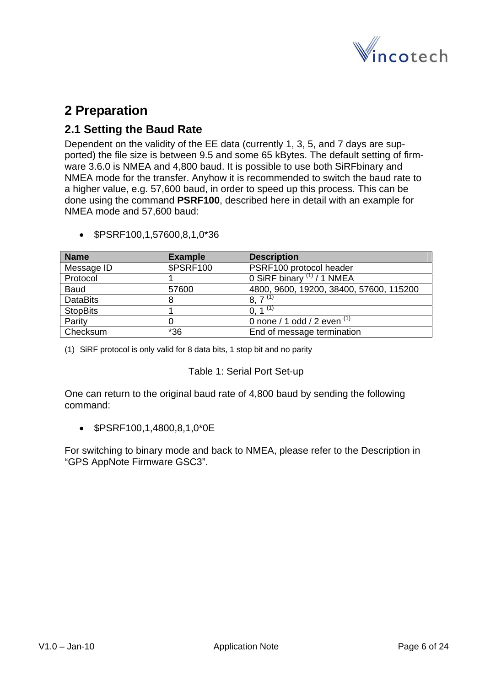

## <span id="page-5-0"></span>**2 Preparation**

## **2.1 Setting the Baud Rate**

Dependent on the validity of the EE data (currently 1, 3, 5, and 7 days are supported) the file size is between 9.5 and some 65 kBytes. The default setting of firmware 3.6.0 is NMEA and 4,800 baud. It is possible to use both SiRFbinary and NMEA mode for the transfer. Anyhow it is recommended to switch the baud rate to a higher value, e.g. 57,600 baud, in order to speed up this process. This can be done using the command **PSRF100**, described here in detail with an example for NMEA mode and 57,600 baud:

| <b>Name</b>     | <b>Example</b>   | <b>Description</b>                      |
|-----------------|------------------|-----------------------------------------|
| Message ID      | <b>\$PSRF100</b> | PSRF100 protocol header                 |
| Protocol        |                  | 0 SiRF binary $(1)$ / 1 NMEA            |
| <b>Baud</b>     | 57600            | 4800, 9600, 19200, 38400, 57600, 115200 |
| <b>DataBits</b> | 8                | $8,7^{(1)}$                             |
| <b>StopBits</b> |                  | 0, 1 <sup>(1)</sup>                     |
| Parity          |                  | 0 none / 1 odd / 2 even $(1)$           |
| Checksum        | $*36$            | End of message termination              |

• \$PSRF100,1,57600,8,1,0\*36

(1) SiRF protocol is only valid for 8 data bits, 1 stop bit and no parity

#### Table 1: Serial Port Set-up

One can return to the original baud rate of 4,800 baud by sending the following command:

• \$PSRF100,1,4800,8,1,0\*0E

For switching to binary mode and back to NMEA, please refer to the Description in "GPS AppNote Firmware GSC3".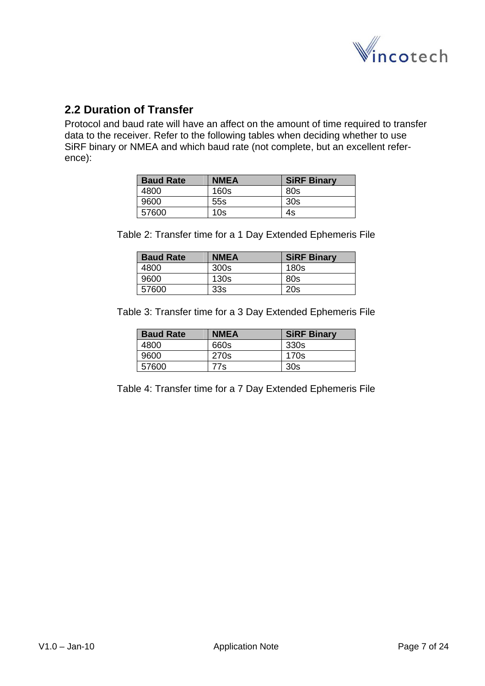

## <span id="page-6-0"></span>**2.2 Duration of Transfer**

Protocol and baud rate will have an affect on the amount of time required to transfer data to the receiver. Refer to the following tables when deciding whether to use SiRF binary or NMEA and which baud rate (not complete, but an excellent reference):

| <b>Baud Rate</b> | <b>NMEA</b>     | <b>SiRF Binary</b> |
|------------------|-----------------|--------------------|
| 4800             | 160s            | 80s                |
| 9600             | 55s             | 30s                |
| 57600            | 10 <sub>s</sub> | 4s                 |

Table 2: Transfer time for a 1 Day Extended Ephemeris File

| <b>Baud Rate</b> | <b>NMEA</b>     | <b>SiRF Binary</b> |
|------------------|-----------------|--------------------|
| 4800             | 300s            | 180s               |
| 9600             | 130s            | 80s                |
| 57600            | 33 <sub>s</sub> | 20s                |

Table 3: Transfer time for a 3 Day Extended Ephemeris File

| <b>Baud Rate</b> | <b>NMEA</b> | <b>SiRF Binary</b> |
|------------------|-------------|--------------------|
| 4800             | 660s        | 330s               |
| 9600             | 270s        | 170s               |
| 57600            | 77s         | 30s                |

Table 4: Transfer time for a 7 Day Extended Ephemeris File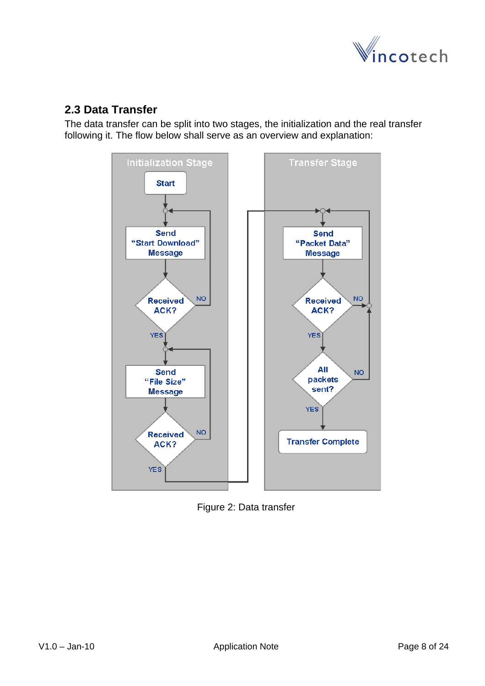

## <span id="page-7-0"></span>**2.3 Data Transfer**

The data transfer can be split into two stages, the initialization and the real transfer following it. The flow below shall serve as an overview and explanation:



Figure 2: Data transfer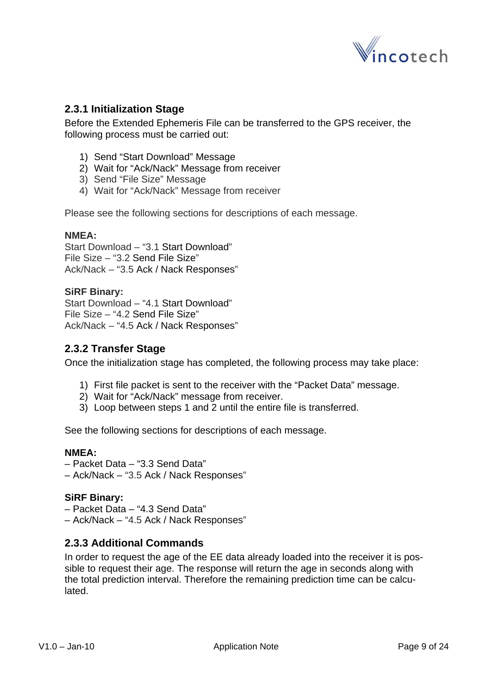

#### <span id="page-8-0"></span>**2.3.1 Initialization Stage**

Before the Extended Ephemeris File can be transferred to the GPS receiver, the following process must be carried out:

- 1) Send "Start Download" Message
- 2) Wait for "Ack/Nack" Message from receiver
- 3) Send "File Size" Message
- 4) Wait for "Ack/Nack" Message from receiver

Please see the following sections for descriptions of each message.

#### **NMEA:**

Start Download – "[3.1](#page-9-1) [Start Download"](#page-9-1) File Size – "[3.2](#page-10-1) [Send File Size](#page-10-1)" Ack/Nack – ["3.5](#page-13-1) [Ack / Nack Responses](#page-13-1)"

#### **SiRF Binary:**

Start Download – "[4.1](#page-15-1) [Start Download"](#page-15-1) File Size – "[4.2](#page-16-1) [Send File Size](#page-16-1)" Ack/Nack – ["4.5](#page-20-1) [Ack / Nack Responses](#page-20-1)"

#### **2.3.2 Transfer Stage**

Once the initialization stage has completed, the following process may take place:

- 1) First file packet is sent to the receiver with the "Packet Data" message.
- 2) Wait for "Ack/Nack" message from receiver.
- 3) Loop between steps 1 and 2 until the entire file is transferred.

See the following sections for descriptions of each message.

#### **NMEA:**

- Packet Data ["3.3](#page-11-1) [Send Data"](#page-11-1)
- Ack/Nack ["3.5](#page-13-1) [Ack / Nack Responses](#page-13-1)"

#### **SiRF Binary:**

- Packet Data ["4.3](#page-17-1) [Send Data"](#page-17-1)
- Ack/Nack ["4.5](#page-20-1) [Ack / Nack Responses](#page-20-1)"

#### **2.3.3 Additional Commands**

In order to request the age of the EE data already loaded into the receiver it is possible to request their age. The response will return the age in seconds along with the total prediction interval. Therefore the remaining prediction time can be calculated.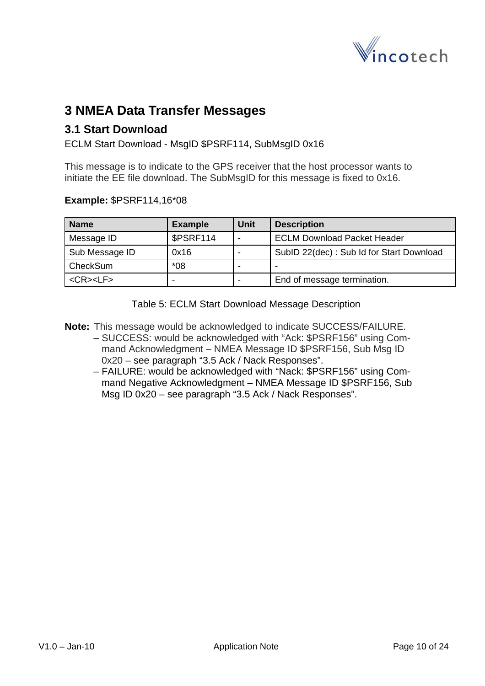

## <span id="page-9-0"></span>**3 NMEA Data Transfer Messages**

### <span id="page-9-1"></span>**3.1 Start Download**

ECLM Start Download - MsgID \$PSRF114, SubMsgID 0x16

This message is to indicate to the GPS receiver that the host processor wants to initiate the EE file download. The SubMsgID for this message is fixed to 0x16.

#### **Example:** \$PSRF114,16\*08

| <b>Name</b>           | <b>Example</b> | Unit | <b>Description</b>                       |
|-----------------------|----------------|------|------------------------------------------|
| Message ID            | \$PSRF114      |      | <b>ECLM Download Packet Header</b>       |
| Sub Message ID        | 0x16           |      | SubID 22(dec): Sub Id for Start Download |
| CheckSum              | $*08$          | -    | $\overline{\phantom{0}}$                 |
| $<$ CR $>$ $<$ LF $>$ |                |      | End of message termination.              |

Table 5: ECLM Start Download Message Description

**Note:** This message would be acknowledged to indicate SUCCESS/FAILURE.

- SUCCESS: would be acknowledged with "Ack: \$PSRF156" using Command Acknowledgment – NMEA Message ID \$PSRF156, Sub Msg ID 0x20 – see paragraph "[3.5](#page-13-1) [Ack / Nack Responses](#page-13-1)".
- FAILURE: would be acknowledged with "Nack: \$PSRF156" using Command Negative Acknowledgment – NMEA Message ID \$PSRF156, Sub Msg ID 0x20 – see paragraph ["3.5](#page-13-1) [Ack / Nack Responses"](#page-13-1).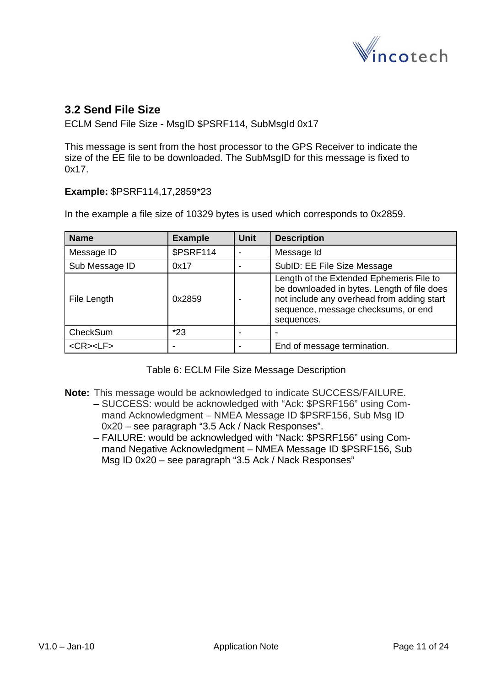

## <span id="page-10-1"></span><span id="page-10-0"></span>**3.2 Send File Size**

ECLM Send File Size - MsgID \$PSRF114, SubMsgId 0x17

This message is sent from the host processor to the GPS Receiver to indicate the size of the EE file to be downloaded. The SubMsgID for this message is fixed to 0x17.

**Example:** \$PSRF114,17,2859\*23

In the example a file size of 10329 bytes is used which corresponds to 0x2859.

| <b>Name</b>     | <b>Example</b>   | <b>Unit</b> | <b>Description</b>                                                                                                                                                                         |
|-----------------|------------------|-------------|--------------------------------------------------------------------------------------------------------------------------------------------------------------------------------------------|
| Message ID      | <b>\$PSRF114</b> |             | Message Id                                                                                                                                                                                 |
| Sub Message ID  | 0x17             |             | SubID: EE File Size Message                                                                                                                                                                |
| File Length     | 0x2859           |             | Length of the Extended Ephemeris File to<br>be downloaded in bytes. Length of file does<br>not include any overhead from adding start<br>sequence, message checksums, or end<br>sequences. |
| CheckSum        | $*23$            |             |                                                                                                                                                                                            |
| $<$ CR> $<$ LF> |                  |             | End of message termination.                                                                                                                                                                |

Table 6: ECLM File Size Message Description

- **Note:** This message would be acknowledged to indicate SUCCESS/FAILURE.
	- SUCCESS: would be acknowledged with "Ack: \$PSRF156" using Command Acknowledgment – NMEA Message ID \$PSRF156, Sub Msg ID 0x20 – see paragraph "[3.5](#page-13-1) [Ack / Nack Responses](#page-13-1)".
		- FAILURE: would be acknowledged with "Nack: \$PSRF156" using Command Negative Acknowledgment – NMEA Message ID \$PSRF156, Sub Msg ID 0x20 – see paragraph ["3.5](#page-13-1) [Ack / Nack Responses"](#page-13-1)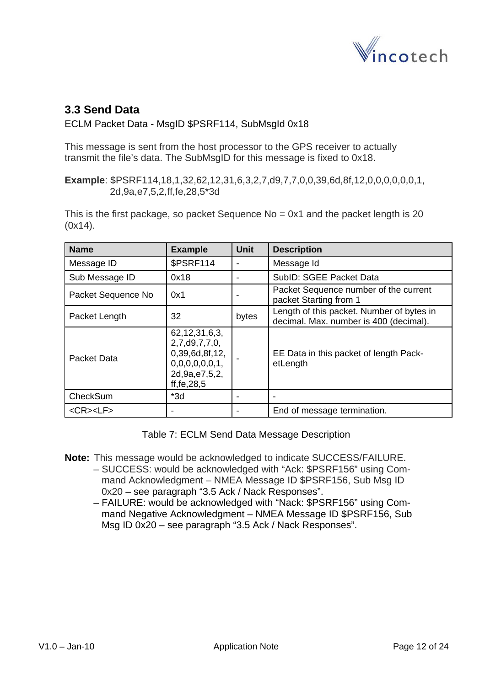

## <span id="page-11-1"></span><span id="page-11-0"></span>**3.3 Send Data**

#### ECLM Packet Data - MsgID \$PSRF114, SubMsgId 0x18

This message is sent from the host processor to the GPS receiver to actually transmit the file's data. The SubMsgID for this message is fixed to 0x18.

**Example**: \$PSRF114,18,1,32,62,12,31,6,3,2,7,d9,7,7,0,0,39,6d,8f,12,0,0,0,0,0,0,1, 2d,9a,e7,5,2,ff,fe,28,5\*3d

This is the first package, so packet Sequence  $No = 0x1$  and the packet length is 20 (0x14).

| <b>Name</b>        | <b>Example</b>                                                                                               | <b>Unit</b> | <b>Description</b>                                                                  |
|--------------------|--------------------------------------------------------------------------------------------------------------|-------------|-------------------------------------------------------------------------------------|
| Message ID         | \$PSRF114                                                                                                    |             | Message Id                                                                          |
| Sub Message ID     | 0x18                                                                                                         |             | SubID: SGEE Packet Data                                                             |
| Packet Sequence No | 0x1                                                                                                          |             | Packet Sequence number of the current<br>packet Starting from 1                     |
| Packet Length      | 32                                                                                                           | bytes       | Length of this packet. Number of bytes in<br>decimal. Max. number is 400 (decimal). |
| Packet Data        | 62, 12, 31, 6, 3,<br>2,7,d9,7,7,0,<br>0,39,6d,8f,12,<br>0,0,0,0,0,0,1,<br>2d, 9a, e7, 5, 2,<br>ff, fe, 28, 5 |             | EE Data in this packet of length Pack-<br>etLength                                  |
| CheckSum           | $*3d$                                                                                                        |             |                                                                                     |
| <cr><lf></lf></cr> |                                                                                                              |             | End of message termination.                                                         |

Table 7: ECLM Send Data Message Description

**Note:** This message would be acknowledged to indicate SUCCESS/FAILURE.

- SUCCESS: would be acknowledged with "Ack: \$PSRF156" using Command Acknowledgment – NMEA Message ID \$PSRF156, Sub Msg ID 0x20 – see paragraph "[3.5](#page-13-1) [Ack / Nack Responses](#page-13-1)".
- FAILURE: would be acknowledged with "Nack: \$PSRF156" using Command Negative Acknowledgment – NMEA Message ID \$PSRF156, Sub Msg ID 0x20 – see paragraph ["3.5](#page-13-1) [Ack / Nack Responses"](#page-13-1).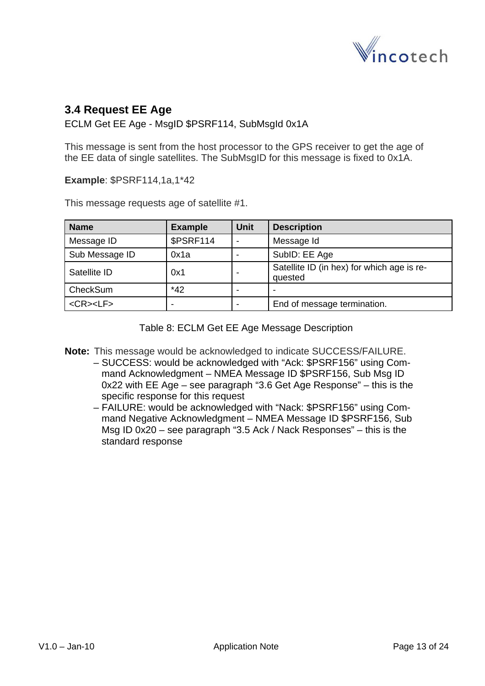

## <span id="page-12-0"></span>**3.4 Request EE Age**

ECLM Get EE Age - MsgID \$PSRF114, SubMsgId 0x1A

This message is sent from the host processor to the GPS receiver to get the age of the EE data of single satellites. The SubMsgID for this message is fixed to 0x1A.

**Example**: \$PSRF114,1a,1\*42

This message requests age of satellite #1.

| <b>Name</b>     | <b>Example</b>   | <b>Unit</b> | <b>Description</b>                                    |
|-----------------|------------------|-------------|-------------------------------------------------------|
| Message ID      | <b>\$PSRF114</b> | -           | Message Id                                            |
| Sub Message ID  | 0x1a             |             | SubID: EE Age                                         |
| Satellite ID    | 0x1              | ۰           | Satellite ID (in hex) for which age is re-<br>quested |
| CheckSum        | $*42$            |             | $\blacksquare$                                        |
| $<$ CR> $<$ LF> | -                | -           | End of message termination.                           |

Table 8: ECLM Get EE Age Message Description

**Note:** This message would be acknowledged to indicate SUCCESS/FAILURE.

- SUCCESS: would be acknowledged with "Ack: \$PSRF156" using Command Acknowledgment – NMEA Message ID \$PSRF156, Sub Msg ID 0x22 with EE Age – see paragraph ["3.6](#page-14-1) [Get Age Response"](#page-14-1) – this is the specific response for this request
- FAILURE: would be acknowledged with "Nack: \$PSRF156" using Command Negative Acknowledgment – NMEA Message ID \$PSRF156, Sub Msg ID 0x20 – see paragraph ["3.5](#page-13-1) [Ack / Nack Responses"](#page-13-1) – this is the standard response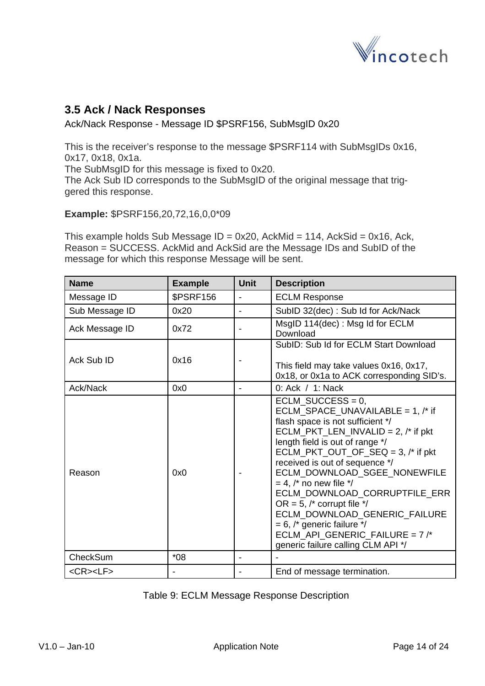

## <span id="page-13-1"></span><span id="page-13-0"></span>**3.5 Ack / Nack Responses**

Ack/Nack Response - Message ID \$PSRF156, SubMsgID 0x20

This is the receiver's response to the message \$PSRF114 with SubMsgIDs 0x16, 0x17, 0x18, 0x1a.

The SubMsgID for this message is fixed to 0x20.

The Ack Sub ID corresponds to the SubMsgID of the original message that triggered this response.

**Example:** \$PSRF156,20,72,16,0,0\*09

This example holds Sub Message  $ID = 0x20$ , AckMid = 114, AckSid = 0x16, Ack, Reason = SUCCESS. AckMid and AckSid are the Message IDs and SubID of the message for which this response Message will be sent.

| <b>Name</b>        | <b>Example</b>   | <b>Unit</b> | <b>Description</b>                                                                                                                                                                                                                                                                                                                                                                                                                                                                                                                           |
|--------------------|------------------|-------------|----------------------------------------------------------------------------------------------------------------------------------------------------------------------------------------------------------------------------------------------------------------------------------------------------------------------------------------------------------------------------------------------------------------------------------------------------------------------------------------------------------------------------------------------|
| Message ID         | <b>\$PSRF156</b> |             | <b>ECLM Response</b>                                                                                                                                                                                                                                                                                                                                                                                                                                                                                                                         |
| Sub Message ID     | 0x20             |             | SubID 32(dec): Sub Id for Ack/Nack                                                                                                                                                                                                                                                                                                                                                                                                                                                                                                           |
| Ack Message ID     | 0x72             |             | MsgID 114(dec): Msg Id for ECLM<br>Download                                                                                                                                                                                                                                                                                                                                                                                                                                                                                                  |
| Ack Sub ID         | 0x16             |             | SubID: Sub Id for ECLM Start Download<br>This field may take values 0x16, 0x17,<br>0x18, or 0x1a to ACK corresponding SID's.                                                                                                                                                                                                                                                                                                                                                                                                                 |
| Ack/Nack           | 0x0              |             | 0: Ack / 1: Nack                                                                                                                                                                                                                                                                                                                                                                                                                                                                                                                             |
| Reason             | 0x0              |             | $ECLM_SUCCES = 0,$<br>$ECLM_SPACE_UNAVALABLE = 1,$ /* if<br>flash space is not sufficient */<br>$ECLM_PKT_LEN_INVALID = 2,$ /* if pkt<br>length field is out of range */<br>$ECLM_PKT_OUT_OF_SEQ = 3,$ /* if pkt<br>received is out of sequence */<br>ECLM_DOWNLOAD_SGEE_NONEWFILE<br>$= 4$ , /* no new file */<br>ECLM_DOWNLOAD_CORRUPTFILE_ERR<br>OR = 5, $\prime^*$ corrupt file $\prime\prime$<br>ECLM_DOWNLOAD_GENERIC_FAILURE<br>$= 6$ , /* generic failure */<br>ECLM_API_GENERIC_FAILURE = 7/*<br>generic failure calling CLM API */ |
| CheckSum           | $*08$            |             |                                                                                                                                                                                                                                                                                                                                                                                                                                                                                                                                              |
| <cr><lf></lf></cr> |                  |             | End of message termination.                                                                                                                                                                                                                                                                                                                                                                                                                                                                                                                  |

Table 9: ECLM Message Response Description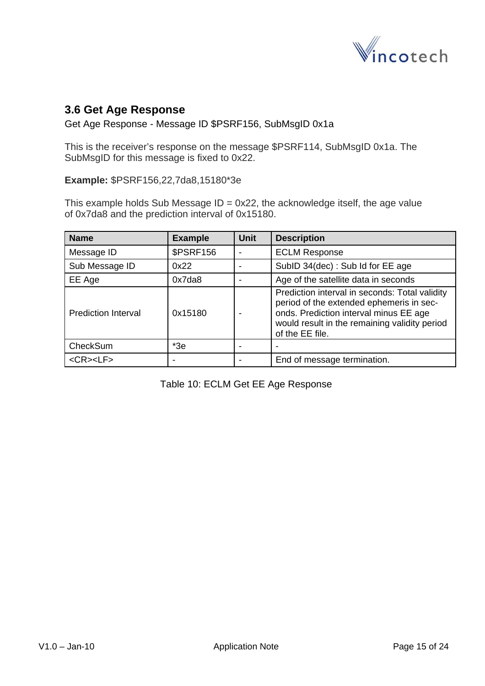

## <span id="page-14-1"></span><span id="page-14-0"></span>**3.6 Get Age Response**

Get Age Response - Message ID \$PSRF156, SubMsgID 0x1a

This is the receiver's response on the message \$PSRF114, SubMsgID 0x1a. The SubMsgID for this message is fixed to 0x22.

**Example:** \$PSRF156,22,7da8,15180\*3e

This example holds Sub Message  $ID = 0x22$ , the acknowledge itself, the age value of 0x7da8 and the prediction interval of 0x15180.

| <b>Name</b>                | <b>Example</b>   | <b>Unit</b> | <b>Description</b>                                                                                                                                                                                       |
|----------------------------|------------------|-------------|----------------------------------------------------------------------------------------------------------------------------------------------------------------------------------------------------------|
| Message ID                 | <b>\$PSRF156</b> |             | <b>ECLM Response</b>                                                                                                                                                                                     |
| Sub Message ID             | 0x22             |             | SubID 34(dec): Sub Id for EE age                                                                                                                                                                         |
| EE Age                     | 0x7da8           |             | Age of the satellite data in seconds                                                                                                                                                                     |
| <b>Prediction Interval</b> | 0x15180          |             | Prediction interval in seconds: Total validity<br>period of the extended ephemeris in sec-<br>onds. Prediction interval minus EE age<br>would result in the remaining validity period<br>of the EE file. |
| CheckSum                   | $*3e$            |             |                                                                                                                                                                                                          |
| $<$ CR> $<$ LF>            |                  |             | End of message termination.                                                                                                                                                                              |

Table 10: ECLM Get EE Age Response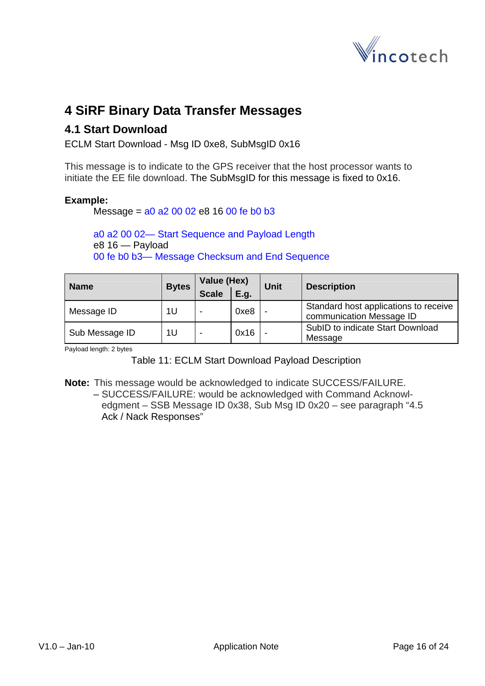

## <span id="page-15-0"></span>**4 SiRF Binary Data Transfer Messages**

### <span id="page-15-1"></span>**4.1 Start Download**

ECLM Start Download - Msg ID 0xe8, SubMsgID 0x16

This message is to indicate to the GPS receiver that the host processor wants to initiate the EE file download. The SubMsgID for this message is fixed to 0x16.

#### **Example:**

Message = a0 a2 00 02 e8 16 00 fe b0 b3

a0 a2 00 02— Start Sequence and Payload Length e8 16 — Payload 00 fe b0 b3— Message Checksum and End Sequence

| <b>Name</b>    | <b>Bytes</b> | Value (Hex)  |      | <b>Unit</b> | <b>Description</b>                                                |
|----------------|--------------|--------------|------|-------------|-------------------------------------------------------------------|
|                |              | <b>Scale</b> | E.g. |             |                                                                   |
| Message ID     | 1U           |              | 0xe8 |             | Standard host applications to receive<br>communication Message ID |
| Sub Message ID | 1U           |              | 0x16 |             | SubID to indicate Start Download<br>Message                       |

Payload length: 2 bytes

Table 11: ECLM Start Download Payload Description

**Note:** This message would be acknowledged to indicate SUCCESS/FAILURE.

– SUCCESS/FAILURE: would be acknowledged with Command Acknowledgment – SSB Message ID 0x38, Sub Msg ID 0x20 – see paragraph ["4.5](#page-20-1) [Ack / Nack Responses](#page-20-1)"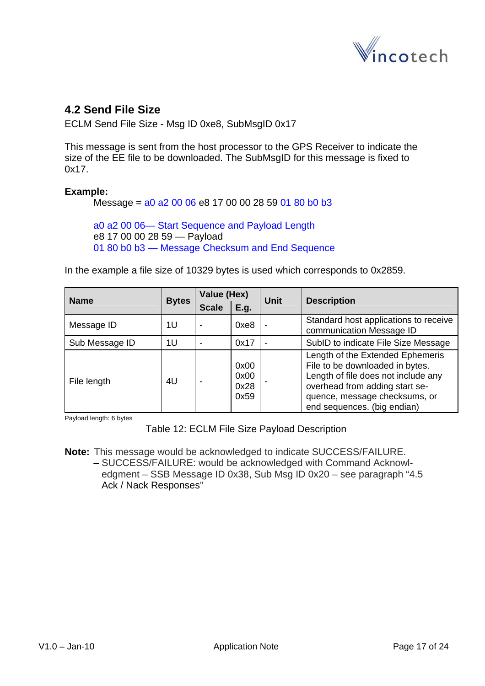

### <span id="page-16-1"></span><span id="page-16-0"></span>**4.2 Send File Size**

ECLM Send File Size - Msg ID 0xe8, SubMsgID 0x17

This message is sent from the host processor to the GPS Receiver to indicate the size of the EE file to be downloaded. The SubMsgID for this message is fixed to 0x17.

#### **Example:**

Message = a0 a2 00 06 e8 17 00 00 28 59 01 80 b0 b3

a0 a2 00 06— Start Sequence and Payload Length e8 17 00 00 28 59 — Payload 01 80 b0 b3 — Message Checksum and End Sequence

In the example a file size of 10329 bytes is used which corresponds to 0x2859.

| <b>Name</b>    | <b>Bytes</b> | Value (Hex)  |                              | <b>Unit</b> | <b>Description</b>                                                                                                                                                                                           |
|----------------|--------------|--------------|------------------------------|-------------|--------------------------------------------------------------------------------------------------------------------------------------------------------------------------------------------------------------|
|                |              | <b>Scale</b> | E.g.                         |             |                                                                                                                                                                                                              |
| Message ID     | 1U           |              | 0xe8                         |             | Standard host applications to receive<br>communication Message ID                                                                                                                                            |
| Sub Message ID | 1U           |              | 0x17                         |             | SubID to indicate File Size Message                                                                                                                                                                          |
| File length    | 4U           |              | 0x00<br>0x00<br>0x28<br>0x59 |             | Length of the Extended Ephemeris<br>File to be downloaded in bytes.<br>Length of file does not include any<br>overhead from adding start se-<br>quence, message checksums, or<br>end sequences. (big endian) |

Payload length: 6 bytes

Table 12: ECLM File Size Payload Description

**Note:** This message would be acknowledged to indicate SUCCESS/FAILURE. – SUCCESS/FAILURE: would be acknowledged with Command Acknowledgment – SSB Message ID 0x38, Sub Msg ID 0x20 – see paragraph ["4.5](#page-20-1) [Ack / Nack Responses](#page-20-1)"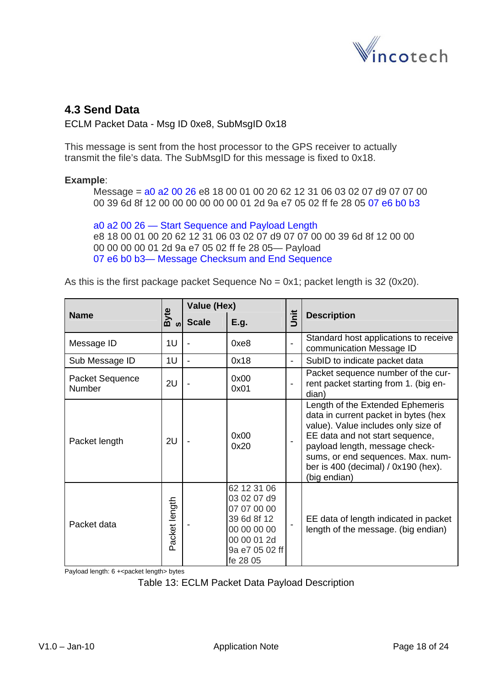

## <span id="page-17-1"></span><span id="page-17-0"></span>**4.3 Send Data**

ECLM Packet Data - Msg ID 0xe8, SubMsgID 0x18

This message is sent from the host processor to the GPS receiver to actually transmit the file's data. The SubMsgID for this message is fixed to 0x18.

#### **Example**:

Message = a0 a2 00 26 e8 18 00 01 00 20 62 12 31 06 03 02 07 d9 07 07 00 00 39 6d 8f 12 00 00 00 00 00 00 01 2d 9a e7 05 02 ff fe 28 05 07 e6 b0 b3

a0 a2 00 26 — Start Sequence and Payload Length e8 18 00 01 00 20 62 12 31 06 03 02 07 d9 07 07 00 00 39 6d 8f 12 00 00 00 00 00 00 01 2d 9a e7 05 02 ff fe 28 05— Payload 07 e6 b0 b3— Message Checksum and End Sequence

As this is the first package packet Sequence  $No = 0x1$ ; packet length is 32 (0x20).

|                           |               | Value (Hex)              |                                                                                                                      |                          |                                                                                                                                                                                                                                                                                    |
|---------------------------|---------------|--------------------------|----------------------------------------------------------------------------------------------------------------------|--------------------------|------------------------------------------------------------------------------------------------------------------------------------------------------------------------------------------------------------------------------------------------------------------------------------|
| <b>Name</b>               | <b>Byte</b>   | <b>Scale</b>             | E.g.                                                                                                                 | jnit                     | <b>Description</b>                                                                                                                                                                                                                                                                 |
| Message ID                | 1U            | $\overline{\phantom{a}}$ | 0xe8                                                                                                                 |                          | Standard host applications to receive<br>communication Message ID                                                                                                                                                                                                                  |
| Sub Message ID            | 1U            | $\overline{\phantom{a}}$ | 0x18                                                                                                                 | $\overline{\phantom{a}}$ | SubID to indicate packet data                                                                                                                                                                                                                                                      |
| Packet Sequence<br>Number | 2U            |                          | 0x00<br>0x01                                                                                                         |                          | Packet sequence number of the cur-<br>rent packet starting from 1. (big en-<br>dian)                                                                                                                                                                                               |
| Packet length             | 2U            |                          | 0x00<br>0x20                                                                                                         |                          | Length of the Extended Ephemeris<br>data in current packet in bytes (hex<br>value). Value includes only size of<br>EE data and not start sequence,<br>payload length, message check-<br>sums, or end sequences. Max. num-<br>ber is 400 (decimal) / $0x190$ (hex).<br>(big endian) |
| Packet data               | Packet length |                          | 62 12 31 06<br>03 02 07 d9<br>07 07 00 00<br>39 6d 8f 12<br>00 00 00 00<br>00 00 01 2d<br>9a e7 05 02 ff<br>fe 28 05 |                          | EE data of length indicated in packet<br>length of the message. (big endian)                                                                                                                                                                                                       |

Payload length: 6 + < packet length > bytes

Table 13: ECLM Packet Data Payload Description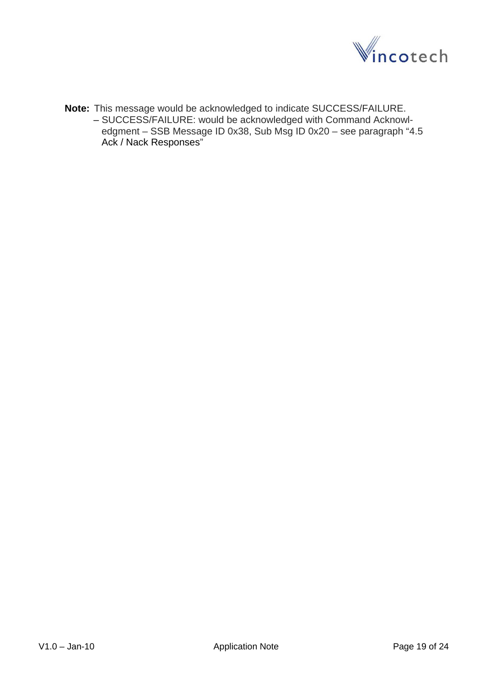

**Note:** This message would be acknowledged to indicate SUCCESS/FAILURE. – SUCCESS/FAILURE: would be acknowledged with Command Acknowledgment – SSB Message ID 0x38, Sub Msg ID 0x20 – see paragraph ["4.5](#page-20-1) [Ack / Nack Responses](#page-20-1)"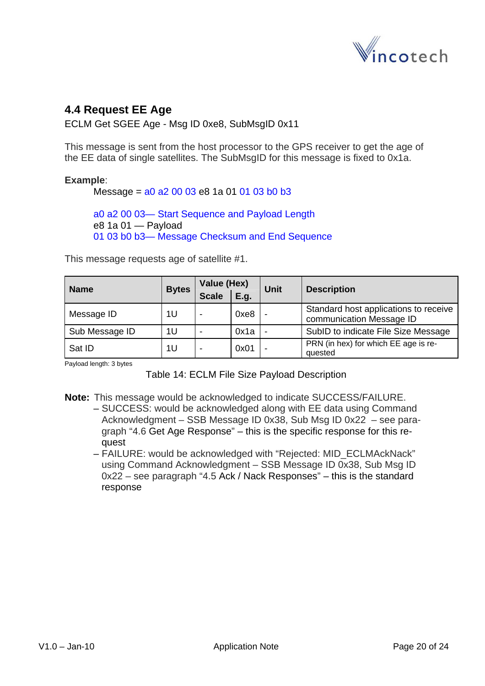

## <span id="page-19-0"></span>**4.4 Request EE Age**

ECLM Get SGEE Age - Msg ID 0xe8, SubMsgID 0x11

This message is sent from the host processor to the GPS receiver to get the age of the EE data of single satellites. The SubMsgID for this message is fixed to 0x1a.

#### **Example**:

Message =  $a0$   $a2$  00 03 e8 1a 01 01 03 b0 b3

a0 a2 00 03— Start Sequence and Payload Length e8 1a 01 — Payload 01 03 b0 b3— Message Checksum and End Sequence

This message requests age of satellite #1.

| <b>Name</b>    | <b>Bytes</b> | Value (Hex)<br><b>Scale</b> | E.g. | <b>Unit</b>              | <b>Description</b>                                                |
|----------------|--------------|-----------------------------|------|--------------------------|-------------------------------------------------------------------|
| Message ID     | 1U           |                             | 0xe8 | -                        | Standard host applications to receive<br>communication Message ID |
| Sub Message ID | 1U           |                             | 0x1a | -                        | SubID to indicate File Size Message                               |
| Sat ID         | 1U           |                             | 0x01 | $\overline{\phantom{0}}$ | PRN (in hex) for which EE age is re-<br>quested                   |

Payload length: 3 bytes

Table 14: ECLM File Size Payload Description

**Note:** This message would be acknowledged to indicate SUCCESS/FAILURE.

- SUCCESS: would be acknowledged along with EE data using Command Acknowledgment – SSB Message ID 0x38, Sub Msg ID 0x22 – see paragraph "[4.6](#page-21-1) [Get Age Response"](#page-21-1) – this is the specific response for this request
- FAILURE: would be acknowledged with "Rejected: MID\_ECLMAckNack" using Command Acknowledgment – SSB Message ID 0x38, Sub Msg ID 0x22 – see paragraph "[4.5](#page-20-1) [Ack / Nack Responses](#page-20-1)" – this is the standard response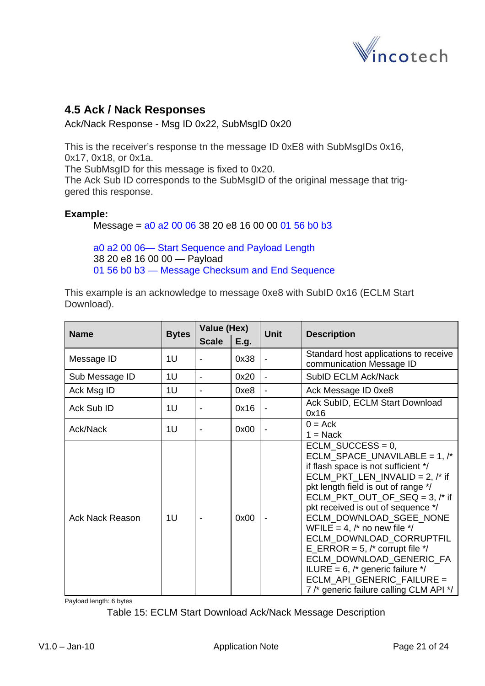

## <span id="page-20-1"></span><span id="page-20-0"></span>**4.5 Ack / Nack Responses**

Ack/Nack Response - Msg ID 0x22, SubMsgID 0x20

This is the receiver's response tn the message ID 0xE8 with SubMsgIDs 0x16, 0x17, 0x18, or 0x1a.

The SubMsgID for this message is fixed to 0x20.

The Ack Sub ID corresponds to the SubMsgID of the original message that triggered this response.

#### **Example:**

Message = a0 a2 00 06 38 20 e8 16 00 00 01 56 b0 b3

a0 a2 00 06— Start Sequence and Payload Length 38 20 e8 16 00 00 — Payload 01 56 b0 b3 — Message Checksum and End Sequence

This example is an acknowledge to message 0xe8 with SubID 0x16 (ECLM Start Download).

| <b>Name</b>     | <b>Bytes</b> | Value (Hex)  |      | <b>Unit</b>                  | <b>Description</b>                                                                                                                                                                                                                                                                                                                                                                                                                                                                                                                                                 |
|-----------------|--------------|--------------|------|------------------------------|--------------------------------------------------------------------------------------------------------------------------------------------------------------------------------------------------------------------------------------------------------------------------------------------------------------------------------------------------------------------------------------------------------------------------------------------------------------------------------------------------------------------------------------------------------------------|
|                 |              | <b>Scale</b> | E.g. |                              |                                                                                                                                                                                                                                                                                                                                                                                                                                                                                                                                                                    |
| Message ID      | 1U           |              | 0x38 |                              | Standard host applications to receive<br>communication Message ID                                                                                                                                                                                                                                                                                                                                                                                                                                                                                                  |
| Sub Message ID  | 1U           | -            | 0x20 | $\overline{\phantom{a}}$     | SubID ECLM Ack/Nack                                                                                                                                                                                                                                                                                                                                                                                                                                                                                                                                                |
| Ack Msg ID      | 1U           |              | 0xe8 | $\qquad \qquad \blacksquare$ | Ack Message ID 0xe8                                                                                                                                                                                                                                                                                                                                                                                                                                                                                                                                                |
| Ack Sub ID      | 1U           |              | 0x16 |                              | Ack SubID, ECLM Start Download<br>0x16                                                                                                                                                                                                                                                                                                                                                                                                                                                                                                                             |
| Ack/Nack        | 1U           |              | 0x00 |                              | $0 = Ack$<br>$1 = \text{Nack}$                                                                                                                                                                                                                                                                                                                                                                                                                                                                                                                                     |
| Ack Nack Reason | 1U           |              | 0x00 |                              | ECLM SUCCESS = $0$ ,<br>ECLM_SPACE_UNAVILABLE = $1,$ /*<br>if flash space is not sufficient */<br>ECLM_PKT_LEN_INVALID = 2, $/*$ if<br>pkt length field is out of range */<br>$ECLM_PKT_OUT_OF_SEQ = 3,$ /* if<br>pkt received is out of sequence */<br>ECLM_DOWNLOAD_SGEE_NONE<br>WFILE = 4, $\prime^*$ no new file $\prime\prime$<br>ECLM_DOWNLOAD_CORRUPTFIL<br>E_ERROR = 5, $/*$ corrupt file $*/$<br>ECLM_DOWNLOAD_GENERIC_FA<br>ILURE = $6$ , $\prime$ * generic failure $\prime$ /<br>ECLM API GENERIC FAILURE =<br>7 /* generic failure calling CLM API */ |

Payload length: 6 bytes

Table 15: ECLM Start Download Ack/Nack Message Description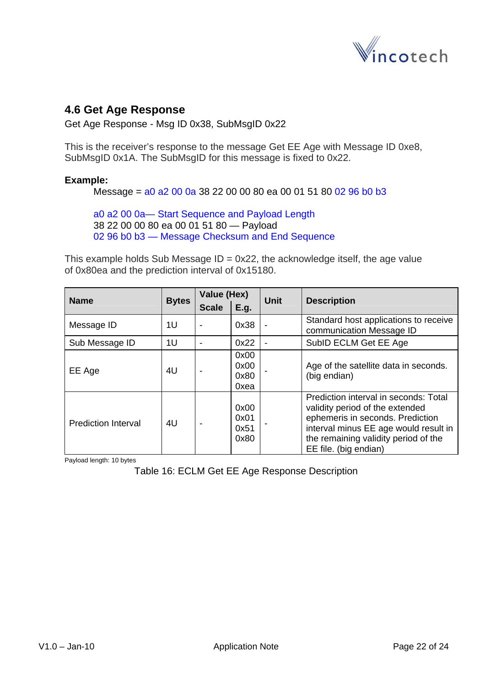

### <span id="page-21-1"></span><span id="page-21-0"></span>**4.6 Get Age Response**

Get Age Response - Msg ID 0x38, SubMsgID 0x22

This is the receiver's response to the message Get EE Age with Message ID 0xe8, SubMsgID 0x1A. The SubMsgID for this message is fixed to 0x22.

#### **Example:**

Message = a0 a2 00 0a 38 22 00 00 80 ea 00 01 51 80 02 96 b0 b3

a0 a2 00 0a— Start Sequence and Payload Length 38 22 00 00 80 ea 00 01 51 80 — Payload 02 96 b0 b3 — Message Checksum and End Sequence

This example holds Sub Message  $ID = 0x22$ , the acknowledge itself, the age value of 0x80ea and the prediction interval of 0x15180.

| <b>Name</b>                | <b>Bytes</b> | Value (Hex)  |                              | <b>Unit</b> | <b>Description</b>                                                                                                                                                                                                     |
|----------------------------|--------------|--------------|------------------------------|-------------|------------------------------------------------------------------------------------------------------------------------------------------------------------------------------------------------------------------------|
|                            |              | <b>Scale</b> | E.q.                         |             |                                                                                                                                                                                                                        |
| Message ID                 | 1U           |              | 0x38                         |             | Standard host applications to receive<br>communication Message ID                                                                                                                                                      |
| Sub Message ID             | 1U           |              | 0x22                         |             | SubID ECLM Get EE Age                                                                                                                                                                                                  |
| EE Age                     | 4U           |              | 0x00<br>0x00<br>0x80<br>0xea |             | Age of the satellite data in seconds.<br>(big endian)                                                                                                                                                                  |
| <b>Prediction Interval</b> | 4U           |              | 0x00<br>0x01<br>0x51<br>0x80 |             | Prediction interval in seconds: Total<br>validity period of the extended<br>ephemeris in seconds. Prediction<br>interval minus EE age would result in<br>the remaining validity period of the<br>EE file. (big endian) |

Payload length: 10 bytes

Table 16: ECLM Get EE Age Response Description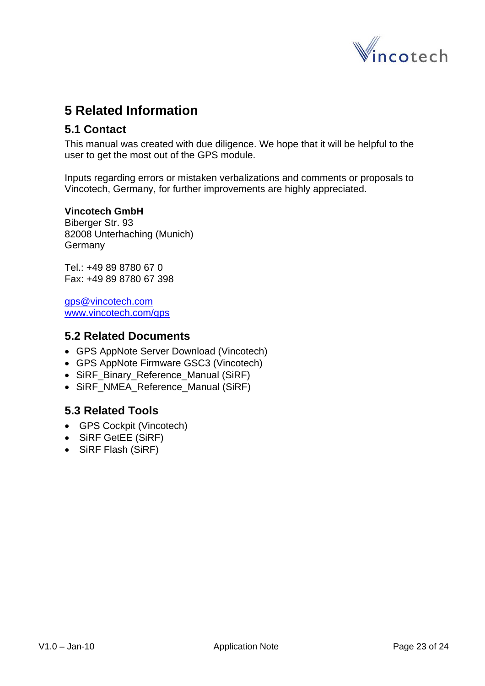

## <span id="page-22-0"></span>**5 Related Information**

### **5.1 Contact**

This manual was created with due diligence. We hope that it will be helpful to the user to get the most out of the GPS module.

Inputs regarding errors or mistaken verbalizations and comments or proposals to Vincotech, Germany, for further improvements are highly appreciated.

#### **Vincotech GmbH**

Biberger Str. 93 82008 Unterhaching (Munich) Germany

Tel.: +49 89 8780 67 0 Fax: +49 89 8780 67 398

[gps@vincotech.com](mailto:gps@vincotech.com?subject=General%20request) [www.vincotech.com/gps](http://www.vincotech.com/gps)

#### **5.2 Related Documents**

- GPS AppNote Server Download (Vincotech)
- GPS AppNote Firmware GSC3 (Vincotech)
- SiRF\_Binary\_Reference\_Manual (SiRF)
- SiRF\_NMEA\_Reference\_Manual (SiRF)

## **5.3 Related Tools**

- GPS Cockpit (Vincotech)
- SiRF GetEE (SiRF)
- SiRF Flash (SiRF)